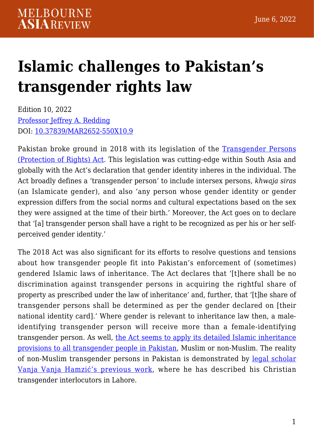## **[Islamic challenges to Pakistan's](https://melbourneasiareview.edu.au/islamic-challenges-to-pakistans-transgender-rights-law/) [transgender rights law](https://melbourneasiareview.edu.au/islamic-challenges-to-pakistans-transgender-rights-law/)**

Edition 10, 2022 [Professor Jeffrey A. Redding](https://law.unimelb.edu.au/about/staff/jeff-redding) DOI: 10.37839/MAR2652-550X10.9

Pakistan broke ground in 2018 with its legislation of the [Transgender Persons](https://na.gov.pk/uploads/documents/1614147088_465.pdf) [\(Protection of Rights\) Act](https://na.gov.pk/uploads/documents/1614147088_465.pdf). This legislation was cutting-edge within South Asia and globally with the Act's declaration that gender identity inheres in the individual. The Act broadly defines a 'transgender person' to include intersex persons, *khwaja siras* (an Islamicate gender), and also 'any person whose gender identity or gender expression differs from the social norms and cultural expectations based on the sex they were assigned at the time of their birth.' Moreover, the Act goes on to declare that '[a] transgender person shall have a right to be recognized as per his or her selfperceived gender identity.'

The 2018 Act was also significant for its efforts to resolve questions and tensions about how transgender people fit into Pakistan's enforcement of (sometimes) gendered Islamic laws of inheritance. The Act declares that '[t]here shall be no discrimination against transgender persons in acquiring the rightful share of property as prescribed under the law of inheritance' and, further, that '[t]he share of transgender persons shall be determined as per the gender declared on [their national identity card].' Where gender is relevant to inheritance law then, a maleidentifying transgender person will receive more than a female-identifying transgender person. As well, [the Act seems to apply its detailed Islamic inheritance](https://papers.ssrn.com/sol3/papers.cfm?abstract_id=3490418) [provisions to all transgender people in Pakistan,](https://papers.ssrn.com/sol3/papers.cfm?abstract_id=3490418) Muslim or non-Muslim. The reality of non-Muslim transgender persons in Pakistan is demonstrated by [legal scholar](https://www.bloomsburycollections.com/book/sexual-and-gender-diversity-in-the-muslim-world-history-law-and-vernacular-knowledge/) [Vanja Vanja Hamzić's previous work,](https://www.bloomsburycollections.com/book/sexual-and-gender-diversity-in-the-muslim-world-history-law-and-vernacular-knowledge/) where he has described his Christian transgender interlocutors in Lahore.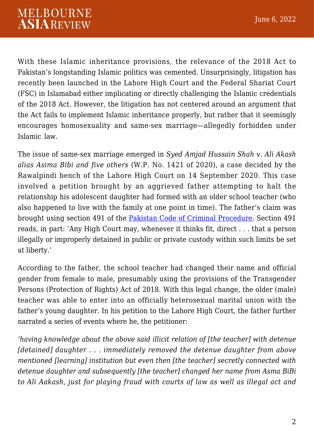With these Islamic inheritance provisions, the relevance of the 2018 Act to Pakistan's longstanding Islamic politics was cemented. Unsurprisingly, litigation has recently been launched in the Lahore High Court and the Federal Shariat Court (FSC) in Islamabad either implicating or directly challenging the Islamic credentials of the 2018 Act. However, the litigation has not centered around an argument that the Act fails to implement Islamic inheritance properly, but rather that it seemingly encourages homosexuality and same-sex marriage—allegedly forbidden under Islamic law.

The issue of same-sex marriage emerged in *Syed Amjad Hussain Shah v. Ali Akash alias Asima Bibi and five others* (W.P. No. 1421 of 2020), a case decided by the Rawalpindi bench of the Lahore High Court on 14 September 2020. This case involved a petition brought by an aggrieved father attempting to halt the relationship his adolescent daughter had formed with an older school teacher (who also happened to live with the family at one point in time). The father's claim was brought using section 491 of the [Pakistan Code of Criminal Procedure.](http://pakistancode.gov.pk/english/UY2FqaJw1-apaUY2Fqa-apea-sg-jjjjjjjjjjjjj) Section 491 reads, in part: 'Any High Court may, whenever it thinks fit, direct . . . that a person illegally or improperly detained in public or private custody within such limits be set at liberty.'

According to the father, the school teacher had changed their name and official gender from female to male, presumably using the provisions of the Transgender Persons (Protection of Rights) Act of 2018. With this legal change, the older (male) teacher was able to enter into an officially heterosexual marital union with the father's young daughter. In his petition to the Lahore High Court, the father further narrated a series of events where he, the petitioner:

*'having knowledge about the above said illicit relation of [the teacher] with detenue [detained] daughter . . . immediately removed the detenue daughter from above mentioned [learning] institution but even then [the teacher] secretly connected with detenue daughter and subsequently [the teacher] changed her name from Asma BiBi to Ali Aakash, just for playing fraud with courts of law as well as illegal act and*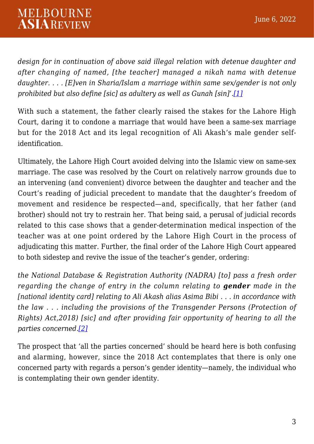*design for in continuation of above said illegal relation with detenue daughter and after changing of named, [the teacher] managed a nikah nama with detenue daughter. . . . [E]ven in Sharia/Islam a marriage within same sex/gender is not only prohibited but also define [sic] as adultery as well as Gunah [sin]'.[\[1\]](#page-5-0)*

<span id="page-2-0"></span>With such a statement, the father clearly raised the stakes for the Lahore High Court, daring it to condone a marriage that would have been a same-sex marriage but for the 2018 Act and its legal recognition of Ali Akash's male gender selfidentification.

Ultimately, the Lahore High Court avoided delving into the Islamic view on same-sex marriage. The case was resolved by the Court on relatively narrow grounds due to an intervening (and convenient) divorce between the daughter and teacher and the Court's reading of judicial precedent to mandate that the daughter's freedom of movement and residence be respected—and, specifically, that her father (and brother) should not try to restrain her. That being said, a perusal of judicial records related to this case shows that a gender-determination medical inspection of the teacher was at one point ordered by the Lahore High Court in the process of adjudicating this matter. Further, the final order of the Lahore High Court appeared to both sidestep and revive the issue of the teacher's gender, ordering:

*the National Database & Registration Authority (NADRA) [to] pass a fresh order regarding the change of entry in the column relating to gender made in the [national identity card] relating to Ali Akash alias Asima Bibi . . . in accordance with the law . . . including the provisions of the Transgender Persons (Protection of Rights) Act,2018) [sic] and after providing fair opportunity of hearing to all the parties concerned.[\[2\]](#page-6-0)*

<span id="page-2-1"></span>The prospect that 'all the parties concerned' should be heard here is both confusing and alarming, however, since the 2018 Act contemplates that there is only one concerned party with regards a person's gender identity—namely, the individual who is contemplating their own gender identity.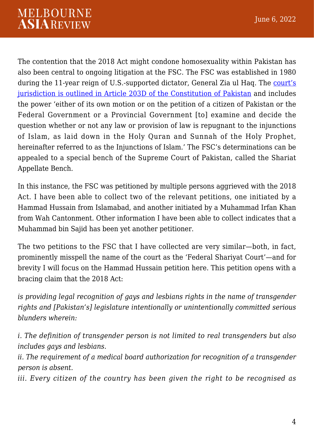The contention that the 2018 Act might condone homosexuality within Pakistan has also been central to ongoing litigation at the FSC. The FSC was established in 1980 during the 11-year reign of U.S.-supported dictator, General Zia ul Haq. The [court's](http://www.pakistani.org/pakistan/constitution/part7.ch3A.html) [jurisdiction is outlined in Article 203D of the Constitution of Pakistan](http://www.pakistani.org/pakistan/constitution/part7.ch3A.html) and includes the power 'either of its own motion or on the petition of a citizen of Pakistan or the Federal Government or a Provincial Government [to] examine and decide the question whether or not any law or provision of law is repugnant to the injunctions of Islam, as laid down in the Holy Quran and Sunnah of the Holy Prophet, hereinafter referred to as the Injunctions of Islam.' The FSC's determinations can be appealed to a special bench of the Supreme Court of Pakistan, called the Shariat Appellate Bench.

In this instance, the FSC was petitioned by multiple persons aggrieved with the 2018 Act. I have been able to collect two of the relevant petitions, one initiated by a Hammad Hussain from Islamabad, and another initiated by a Muhammad Irfan Khan from Wah Cantonment. Other information I have been able to collect indicates that a Muhammad bin Sajid has been yet another petitioner.

The two petitions to the FSC that I have collected are very similar—both, in fact, prominently misspell the name of the court as the 'Federal Shariyat Court'—and for brevity I will focus on the Hammad Hussain petition here. This petition opens with a bracing claim that the 2018 Act:

*is providing legal recognition of gays and lesbians rights in the name of transgender rights and [Pakistan's] legislature intentionally or unintentionally committed serious blunders wherein:*

*i. The definition of transgender person is not limited to real transgenders but also includes gays and lesbians.*

*ii. The requirement of a medical board authorization for recognition of a transgender person is absent.*

*iii. Every citizen of the country has been given the right to be recognised as*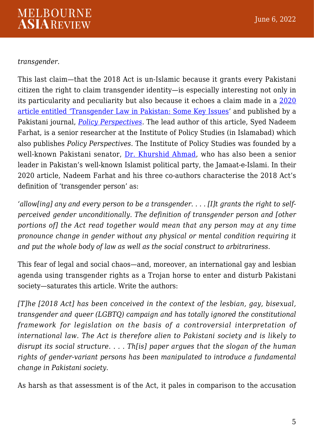## *transgender.*

This last claim—that the 2018 Act is un-Islamic because it grants every Pakistani citizen the right to claim transgender identity—is especially interesting not only in its particularity and peculiarity but also because it echoes a claim made in a [2020](https://www.scienceopen.com/hosted-document?doi=10.13169/polipers.17.1.0007) [article entitled 'Transgender Law in Pakistan: Some Key Issues'](https://www.scienceopen.com/hosted-document?doi=10.13169/polipers.17.1.0007) and published by a Pakistani journal, *[Policy Perspectives](https://www.ips.org.pk/policy-perspectives/)*. The lead author of this article, Syed Nadeem Farhat, is a senior researcher at the Institute of Policy Studies (in Islamabad) which also publishes *Policy Perspectives*. The Institute of Policy Studies was founded by a well-known Pakistani senator, [Dr. Khurshid Ahmad,](https://www.google.com.au/books/edition/The_Oxford_Dictionary_of_Islam/) who has also been a senior leader in Pakistan's well-known Islamist political party, the Jamaat-e-Islami. In their 2020 article, Nadeem Farhat and his three co-authors characterise the 2018 Act's definition of 'transgender person' as:

*'allow[ing] any and every person to be a transgender. . . . [I]t grants the right to selfperceived gender unconditionally. The definition of transgender person and [other portions of] the Act read together would mean that any person may at any time pronounce change in gender without any physical or mental condition requiring it and put the whole body of law as well as the social construct to arbitrariness.*

This fear of legal and social chaos—and, moreover, an international gay and lesbian agenda using transgender rights as a Trojan horse to enter and disturb Pakistani society—saturates this article. Write the authors:

*[T]he [2018 Act] has been conceived in the context of the lesbian, gay, bisexual, transgender and queer (LGBTQ) campaign and has totally ignored the constitutional framework for legislation on the basis of a controversial interpretation of international law. The Act is therefore alien to Pakistani society and is likely to disrupt its social structure. . . . Th[is] paper argues that the slogan of the human rights of gender-variant persons has been manipulated to introduce a fundamental change in Pakistani society.*

As harsh as that assessment is of the Act, it pales in comparison to the accusation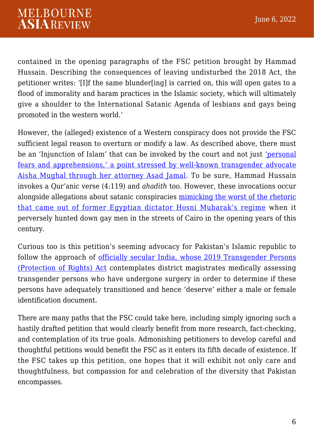contained in the opening paragraphs of the FSC petition brought by Hammad Hussain. Describing the consequences of leaving undisturbed the 2018 Act, the petitioner writes: '[I]f the same blunder[ing] is carried on, this will open gates to a flood of immorality and haram practices in the Islamic society, which will ultimately give a shoulder to the International Satanic Agenda of lesbians and gays being promoted in the western world.'

However, the (alleged) existence of a Western conspiracy does not provide the FSC sufficient legal reason to overturn or modify a law. As described above, there must be an 'Injunction of Islam' that can be invoked by the court and not just ['personal](https://www.dawn.com/news/1678169) [fears and apprehensions,' a point stressed by well-known transgender advocate](https://www.dawn.com/news/1678169) [Aisha Mughal through her attorney Asad Jamal.](https://www.dawn.com/news/1678169) To be sure, Hammad Hussain invokes a Qur'anic verse (4:119) and *ahadith* too. However, these invocations occur alongside allegations about satanic conspiracies [mimicking the worst of the rhetoric](https://www.hrw.org/report/2004/02/29/time-torture/assault-justice-egypts-crackdown-homosexual-conduct) [that came out of former Egyptian dictator Hosni Mubarak's regime](https://www.hrw.org/report/2004/02/29/time-torture/assault-justice-egypts-crackdown-homosexual-conduct) when it perversely hunted down gay men in the streets of Cairo in the opening years of this century.

Curious too is this petition's seeming advocacy for Pakistan's Islamic republic to follow the approach of [officially secular India, whose 2019 Transgender Persons](https://www.indiacode.nic.in/handle/123456789/13091?sam_handle=123456789/1362) [\(Protection of Rights\) Act](https://www.indiacode.nic.in/handle/123456789/13091?sam_handle=123456789/1362) contemplates district magistrates medically assessing transgender persons who have undergone surgery in order to determine if these persons have adequately transitioned and hence 'deserve' either a male or female identification document.

<span id="page-5-0"></span>There are many paths that the FSC could take here, including simply ignoring such a hastily drafted petition that would clearly benefit from more research, fact-checking, and contemplation of its true goals. Admonishing petitioners to develop careful and thoughtful petitions would benefit the FSC as it enters its fifth decade of existence. If the FSC takes up this petition, one hopes that it will exhibit not only care and thoughtfulness, but compassion for and celebration of the diversity that Pakistan encompasses.